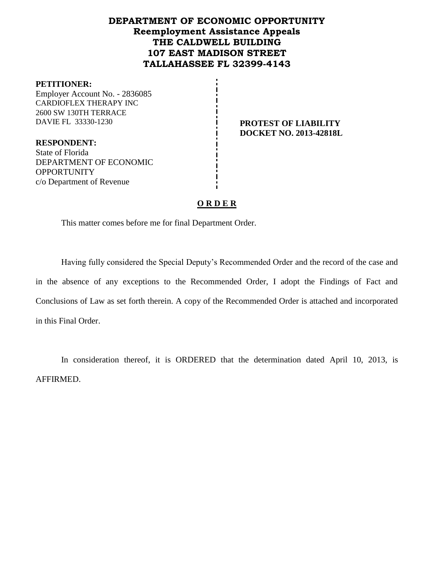## **DEPARTMENT OF ECONOMIC OPPORTUNITY Reemployment Assistance Appeals THE CALDWELL BUILDING 107 EAST MADISON STREET TALLAHASSEE FL 32399-4143**

### **PETITIONER:**

Employer Account No. - 2836085 CARDIOFLEX THERAPY INC 2600 SW 130TH TERRACE DAVIE FL 33330-1230 **PROTEST OF LIABILITY** 

**DOCKET NO. 2013-42818L**

**RESPONDENT:** State of Florida DEPARTMENT OF ECONOMIC **OPPORTUNITY** c/o Department of Revenue

## **O R D E R**

This matter comes before me for final Department Order.

Having fully considered the Special Deputy's Recommended Order and the record of the case and in the absence of any exceptions to the Recommended Order, I adopt the Findings of Fact and Conclusions of Law as set forth therein. A copy of the Recommended Order is attached and incorporated in this Final Order.

In consideration thereof, it is ORDERED that the determination dated April 10, 2013, is AFFIRMED.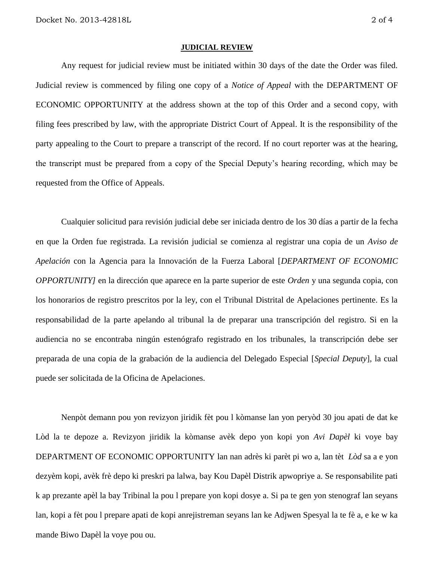#### **JUDICIAL REVIEW**

Any request for judicial review must be initiated within 30 days of the date the Order was filed. Judicial review is commenced by filing one copy of a *Notice of Appeal* with the DEPARTMENT OF ECONOMIC OPPORTUNITY at the address shown at the top of this Order and a second copy, with filing fees prescribed by law, with the appropriate District Court of Appeal. It is the responsibility of the party appealing to the Court to prepare a transcript of the record. If no court reporter was at the hearing, the transcript must be prepared from a copy of the Special Deputy's hearing recording, which may be requested from the Office of Appeals.

Cualquier solicitud para revisión judicial debe ser iniciada dentro de los 30 días a partir de la fecha en que la Orden fue registrada. La revisión judicial se comienza al registrar una copia de un *Aviso de Apelación* con la Agencia para la Innovación de la Fuerza Laboral [*DEPARTMENT OF ECONOMIC OPPORTUNITY]* en la dirección que aparece en la parte superior de este *Orden* y una segunda copia, con los honorarios de registro prescritos por la ley, con el Tribunal Distrital de Apelaciones pertinente. Es la responsabilidad de la parte apelando al tribunal la de preparar una transcripción del registro. Si en la audiencia no se encontraba ningún estenógrafo registrado en los tribunales, la transcripción debe ser preparada de una copia de la grabación de la audiencia del Delegado Especial [*Special Deputy*], la cual puede ser solicitada de la Oficina de Apelaciones.

Nenpòt demann pou yon revizyon jiridik fèt pou l kòmanse lan yon peryòd 30 jou apati de dat ke Lòd la te depoze a. Revizyon jiridik la kòmanse avèk depo yon kopi yon *Avi Dapèl* ki voye bay DEPARTMENT OF ECONOMIC OPPORTUNITY lan nan adrès ki parèt pi wo a, lan tèt *Lòd* sa a e yon dezyèm kopi, avèk frè depo ki preskri pa lalwa, bay Kou Dapèl Distrik apwopriye a. Se responsabilite pati k ap prezante apèl la bay Tribinal la pou l prepare yon kopi dosye a. Si pa te gen yon stenograf lan seyans lan, kopi a fèt pou l prepare apati de kopi anrejistreman seyans lan ke Adjwen Spesyal la te fè a, e ke w ka mande Biwo Dapèl la voye pou ou.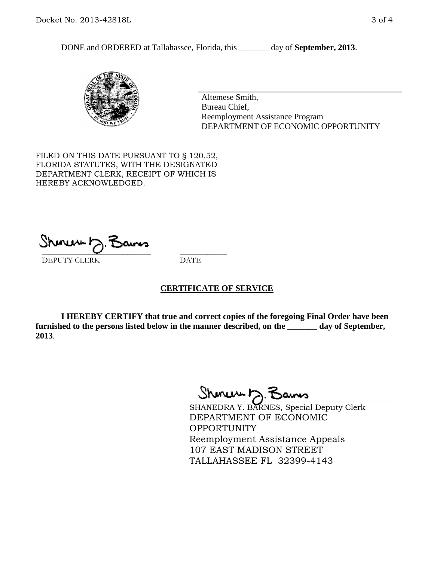DONE and ORDERED at Tallahassee, Florida, this \_\_\_\_\_\_\_ day of **September, 2013**.



Altemese Smith, Bureau Chief, Reemployment Assistance Program DEPARTMENT OF ECONOMIC OPPORTUNITY

FILED ON THIS DATE PURSUANT TO § 120.52, FLORIDA STATUTES, WITH THE DESIGNATED DEPARTMENT CLERK, RECEIPT OF WHICH IS HEREBY ACKNOWLEDGED.

 $\overline{\phantom{a}}$  ,  $\overline{\phantom{a}}$  ,  $\overline{\phantom{a}}$  ,  $\overline{\phantom{a}}$  ,  $\overline{\phantom{a}}$  ,  $\overline{\phantom{a}}$  ,  $\overline{\phantom{a}}$  ,  $\overline{\phantom{a}}$  ,  $\overline{\phantom{a}}$  ,  $\overline{\phantom{a}}$  ,  $\overline{\phantom{a}}$  ,  $\overline{\phantom{a}}$  ,  $\overline{\phantom{a}}$  ,  $\overline{\phantom{a}}$  ,  $\overline{\phantom{a}}$  ,  $\overline{\phantom{a}}$ DEPUTY CLERK DATE

### **CERTIFICATE OF SERVICE**

**I HEREBY CERTIFY that true and correct copies of the foregoing Final Order have been furnished to the persons listed below in the manner described, on the \_\_\_\_\_\_\_ day of September, 2013**.

Sheren 5 Bans

SHANEDRA Y. BARNES, Special Deputy Clerk DEPARTMENT OF ECONOMIC OPPORTUNITY Reemployment Assistance Appeals 107 EAST MADISON STREET TALLAHASSEE FL 32399-4143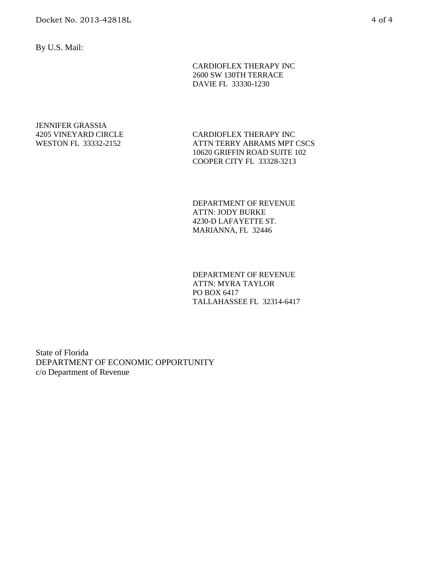By U.S. Mail:

CARDIOFLEX THERAPY INC 2600 SW 130TH TERRACE DAVIE FL 33330-1230

JENNIFER GRASSIA 4205 VINEYARD CIRCLE WESTON FL 33332-2152

CARDIOFLEX THERAPY INC ATTN TERRY ABRAMS MPT CSCS 10620 GRIFFIN ROAD SUITE 102 COOPER CITY FL 33328-3213

DEPARTMENT OF REVENUE ATTN: JODY BURKE 4230-D LAFAYETTE ST. MARIANNA, FL 32446

DEPARTMENT OF REVENUE ATTN: MYRA TAYLOR PO BOX 6417 TALLAHASSEE FL 32314-6417

State of Florida DEPARTMENT OF ECONOMIC OPPORTUNITY c/o Department of Revenue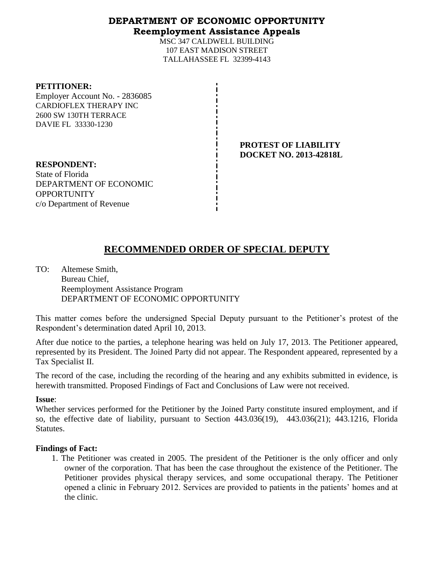## **DEPARTMENT OF ECONOMIC OPPORTUNITY Reemployment Assistance Appeals**

MSC 347 CALDWELL BUILDING 107 EAST MADISON STREET TALLAHASSEE FL 32399-4143

| <b>PETITIONER:</b><br>Employer Account No. - 2836085<br><b>CARDIOFLEX THERAPY INC</b><br>2600 SW 130TH TERRACE<br>DAVIE FL 33330-1230 |                                                              |
|---------------------------------------------------------------------------------------------------------------------------------------|--------------------------------------------------------------|
|                                                                                                                                       | <b>PROTEST OF LIABILITY</b><br><b>DOCKET NO. 2013-42818L</b> |
| <b>RESPONDENT:</b>                                                                                                                    |                                                              |
| State of Florida                                                                                                                      |                                                              |
| DEPARTMENT OF ECONOMIC                                                                                                                |                                                              |
| <b>OPPORTUNITY</b>                                                                                                                    |                                                              |
| c/o Department of Revenue                                                                                                             |                                                              |

# **RECOMMENDED ORDER OF SPECIAL DEPUTY**

TO: Altemese Smith, Bureau Chief, Reemployment Assistance Program DEPARTMENT OF ECONOMIC OPPORTUNITY

This matter comes before the undersigned Special Deputy pursuant to the Petitioner's protest of the Respondent's determination dated April 10, 2013.

After due notice to the parties, a telephone hearing was held on July 17, 2013. The Petitioner appeared, represented by its President. The Joined Party did not appear. The Respondent appeared, represented by a Tax Specialist II.

The record of the case, including the recording of the hearing and any exhibits submitted in evidence, is herewith transmitted. Proposed Findings of Fact and Conclusions of Law were not received.

### **Issue**:

Whether services performed for the Petitioner by the Joined Party constitute insured employment, and if so, the effective date of liability, pursuant to Section 443.036(19), 443.036(21); 443.1216, Florida **Statutes.** 

### **Findings of Fact:**

1. The Petitioner was created in 2005. The president of the Petitioner is the only officer and only owner of the corporation. That has been the case throughout the existence of the Petitioner. The Petitioner provides physical therapy services, and some occupational therapy. The Petitioner opened a clinic in February 2012. Services are provided to patients in the patients' homes and at the clinic.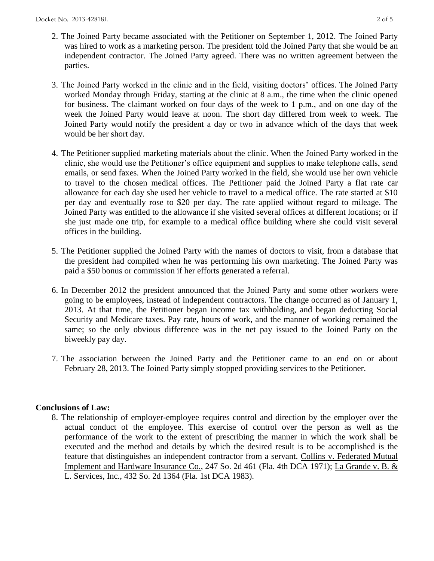- 2. The Joined Party became associated with the Petitioner on September 1, 2012. The Joined Party was hired to work as a marketing person. The president told the Joined Party that she would be an independent contractor. The Joined Party agreed. There was no written agreement between the parties.
- 3. The Joined Party worked in the clinic and in the field, visiting doctors' offices. The Joined Party worked Monday through Friday, starting at the clinic at 8 a.m., the time when the clinic opened for business. The claimant worked on four days of the week to 1 p.m., and on one day of the week the Joined Party would leave at noon. The short day differed from week to week. The Joined Party would notify the president a day or two in advance which of the days that week would be her short day.
- 4. The Petitioner supplied marketing materials about the clinic. When the Joined Party worked in the clinic, she would use the Petitioner's office equipment and supplies to make telephone calls, send emails, or send faxes. When the Joined Party worked in the field, she would use her own vehicle to travel to the chosen medical offices. The Petitioner paid the Joined Party a flat rate car allowance for each day she used her vehicle to travel to a medical office. The rate started at \$10 per day and eventually rose to \$20 per day. The rate applied without regard to mileage. The Joined Party was entitled to the allowance if she visited several offices at different locations; or if she just made one trip, for example to a medical office building where she could visit several offices in the building.
- 5. The Petitioner supplied the Joined Party with the names of doctors to visit, from a database that the president had compiled when he was performing his own marketing. The Joined Party was paid a \$50 bonus or commission if her efforts generated a referral.
- 6. In December 2012 the president announced that the Joined Party and some other workers were going to be employees, instead of independent contractors. The change occurred as of January 1, 2013. At that time, the Petitioner began income tax withholding, and began deducting Social Security and Medicare taxes. Pay rate, hours of work, and the manner of working remained the same; so the only obvious difference was in the net pay issued to the Joined Party on the biweekly pay day.
- 7. The association between the Joined Party and the Petitioner came to an end on or about February 28, 2013. The Joined Party simply stopped providing services to the Petitioner.

### **Conclusions of Law:**

8. The relationship of employer-employee requires control and direction by the employer over the actual conduct of the employee. This exercise of control over the person as well as the performance of the work to the extent of prescribing the manner in which the work shall be executed and the method and details by which the desired result is to be accomplished is the feature that distinguishes an independent contractor from a servant. Collins v. Federated Mutual Implement and Hardware Insurance Co., 247 So. 2d 461 (Fla. 4th DCA 1971); La Grande v. B. & L. Services, Inc., 432 So. 2d 1364 (Fla. 1st DCA 1983).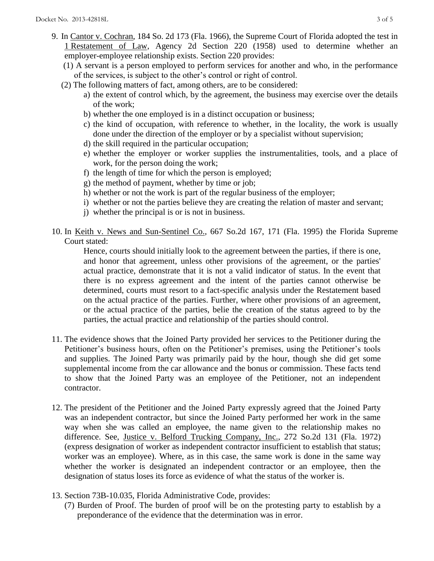- 9. In Cantor v. Cochran, 184 So. 2d 173 (Fla. 1966), the Supreme Court of Florida adopted the test in 1 Restatement of Law, Agency 2d Section 220 (1958) used to determine whether an employer-employee relationship exists. Section 220 provides:
	- (1) A servant is a person employed to perform services for another and who, in the performance of the services, is subject to the other's control or right of control.
	- (2) The following matters of fact, among others, are to be considered:
		- a) the extent of control which, by the agreement, the business may exercise over the details of the work;
		- b) whether the one employed is in a distinct occupation or business;
		- c) the kind of occupation, with reference to whether, in the locality, the work is usually done under the direction of the employer or by a specialist without supervision;
		- d) the skill required in the particular occupation;
		- e) whether the employer or worker supplies the instrumentalities, tools, and a place of work, for the person doing the work;
		- f) the length of time for which the person is employed;
		- g) the method of payment, whether by time or job;
		- h) whether or not the work is part of the regular business of the employer;
		- i) whether or not the parties believe they are creating the relation of master and servant;
		- j) whether the principal is or is not in business.
- 10. In Keith v. News and Sun-Sentinel Co., 667 So.2d 167, 171 (Fla. 1995) the Florida Supreme Court stated:

Hence, courts should initially look to the agreement between the parties, if there is one, and honor that agreement, unless other provisions of the agreement, or the parties' actual practice, demonstrate that it is not a valid indicator of status. In the event that there is no express agreement and the intent of the parties cannot otherwise be determined, courts must resort to a fact-specific analysis under the Restatement based on the actual practice of the parties. Further, where other provisions of an agreement, or the actual practice of the parties, belie the creation of the status agreed to by the parties, the actual practice and relationship of the parties should control.

- 11. The evidence shows that the Joined Party provided her services to the Petitioner during the Petitioner's business hours, often on the Petitioner's premises, using the Petitioner's tools and supplies. The Joined Party was primarily paid by the hour, though she did get some supplemental income from the car allowance and the bonus or commission. These facts tend to show that the Joined Party was an employee of the Petitioner, not an independent contractor.
- 12. The president of the Petitioner and the Joined Party expressly agreed that the Joined Party was an independent contractor, but since the Joined Party performed her work in the same way when she was called an employee, the name given to the relationship makes no difference. See, Justice v. Belford Trucking Company, Inc., 272 So.2d 131 (Fla. 1972) (express designation of worker as independent contractor insufficient to establish that status; worker was an employee). Where, as in this case, the same work is done in the same way whether the worker is designated an independent contractor or an employee, then the designation of status loses its force as evidence of what the status of the worker is.
- 13. Section 73B-10.035, Florida Administrative Code, provides:
	- (7) Burden of Proof. The burden of proof will be on the protesting party to establish by a preponderance of the evidence that the determination was in error.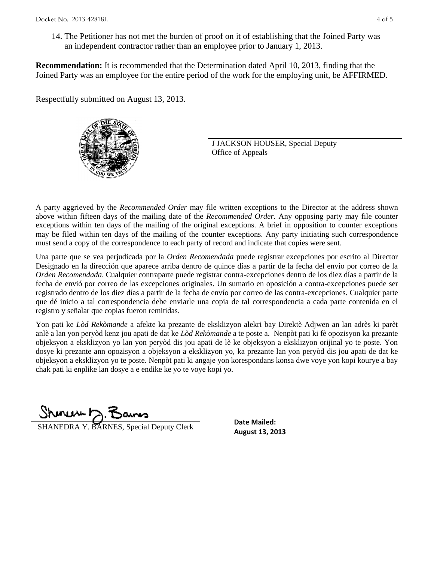14. The Petitioner has not met the burden of proof on it of establishing that the Joined Party was an independent contractor rather than an employee prior to January 1, 2013.

**Recommendation:** It is recommended that the Determination dated April 10, 2013, finding that the Joined Party was an employee for the entire period of the work for the employing unit, be AFFIRMED.

Respectfully submitted on August 13, 2013.



J JACKSON HOUSER, Special Deputy Office of Appeals

A party aggrieved by the *Recommended Order* may file written exceptions to the Director at the address shown above within fifteen days of the mailing date of the *Recommended Order*. Any opposing party may file counter exceptions within ten days of the mailing of the original exceptions. A brief in opposition to counter exceptions may be filed within ten days of the mailing of the counter exceptions. Any party initiating such correspondence must send a copy of the correspondence to each party of record and indicate that copies were sent.

Una parte que se vea perjudicada por la *Orden Recomendada* puede registrar excepciones por escrito al Director Designado en la dirección que aparece arriba dentro de quince días a partir de la fecha del envío por correo de la *Orden Recomendada*. Cualquier contraparte puede registrar contra-excepciones dentro de los diez días a partir de la fecha de envió por correo de las excepciones originales. Un sumario en oposición a contra-excepciones puede ser registrado dentro de los diez días a partir de la fecha de envío por correo de las contra-excepciones. Cualquier parte que dé inicio a tal correspondencia debe enviarle una copia de tal correspondencia a cada parte contenida en el registro y señalar que copias fueron remitidas.

Yon pati ke *Lòd Rekòmande* a afekte ka prezante de eksklizyon alekri bay Direktè Adjwen an lan adrès ki parèt anlè a lan yon peryòd kenz jou apati de dat ke *Lòd Rekòmande* a te poste a. Nenpòt pati ki fè opozisyon ka prezante objeksyon a eksklizyon yo lan yon peryòd dis jou apati de lè ke objeksyon a eksklizyon orijinal yo te poste. Yon dosye ki prezante ann opozisyon a objeksyon a eksklizyon yo, ka prezante lan yon peryòd dis jou apati de dat ke objeksyon a eksklizyon yo te poste. Nenpòt pati ki angaje yon korespondans konsa dwe voye yon kopi kourye a bay chak pati ki enplike lan dosye a e endike ke yo te voye kopi yo.

Shmun 12.Z

**SHANEDRA Y. BARNES, Special Deputy Clerk** Date Malled:<br>**August 13, 2013** 

**Date Mailed:**